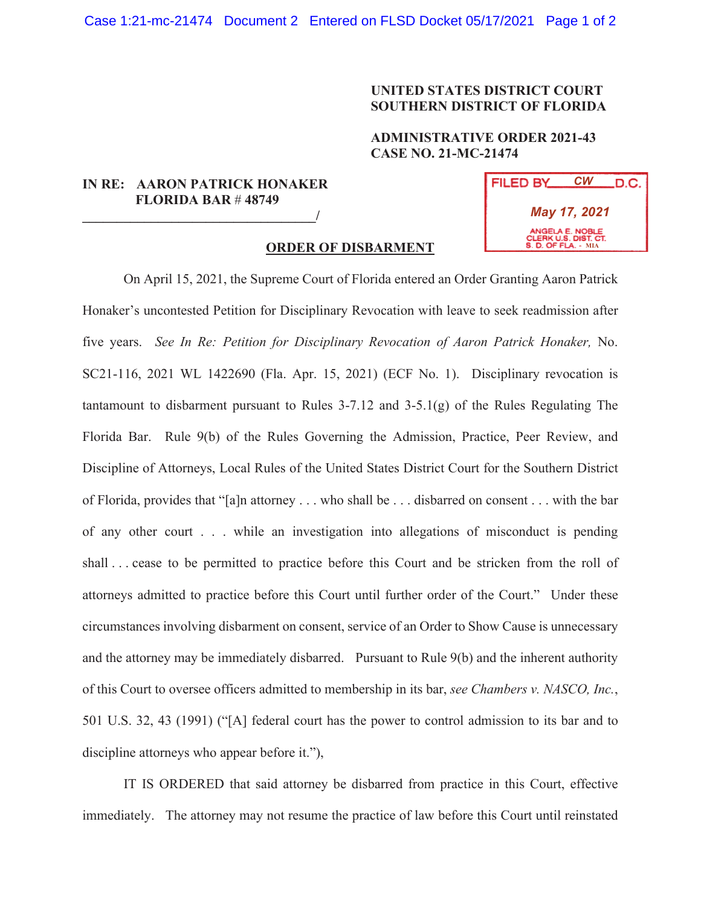## **UNITED STATES DISTRICT COURT SOUTHERN DISTRICT OF FLORIDA**

## **ADMINISTRATIVE ORDER 2021-43 CASE NO. 21-MC-21474**

## **IN RE: AARON PATRICK HONAKER FLORIDA BAR** # **48749**   $\overline{a}$

| FILED BY                                                       | СW | .D.C. |
|----------------------------------------------------------------|----|-------|
| May 17, 2021                                                   |    |       |
| ANGELA E. NOBLE<br>CLERK U.S. DIST. CT.<br>S. D. OF FLA. - MIA |    |       |

## **ORDER OF DISBARMENT**

On April 15, 2021, the Supreme Court of Florida entered an Order Granting Aaron Patrick Honaker's uncontested Petition for Disciplinary Revocation with leave to seek readmission after five years. *See In Re: Petition for Disciplinary Revocation of Aaron Patrick Honaker,* No. SC21-116, 2021 WL 1422690 (Fla. Apr. 15, 2021) (ECF No. 1). Disciplinary revocation is tantamount to disbarment pursuant to Rules 3-7.12 and 3-5.1(g) of the Rules Regulating The Florida Bar. Rule 9(b) of the Rules Governing the Admission, Practice, Peer Review, and Discipline of Attorneys, Local Rules of the United States District Court for the Southern District of Florida, provides that "[a]n attorney . . . who shall be . . . disbarred on consent . . . with the bar of any other court . . . while an investigation into allegations of misconduct is pending shall . . . cease to be permitted to practice before this Court and be stricken from the roll of attorneys admitted to practice before this Court until further order of the Court." Under these circumstances involving disbarment on consent, service of an Order to Show Cause is unnecessary and the attorney may be immediately disbarred. Pursuant to Rule 9(b) and the inherent authority of this Court to oversee officers admitted to membership in its bar, *see Chambers v. NASCO, Inc.*, 501 U.S. 32, 43 (1991) ("[A] federal court has the power to control admission to its bar and to discipline attorneys who appear before it."),

IT IS ORDERED that said attorney be disbarred from practice in this Court, effective immediately. The attorney may not resume the practice of law before this Court until reinstated